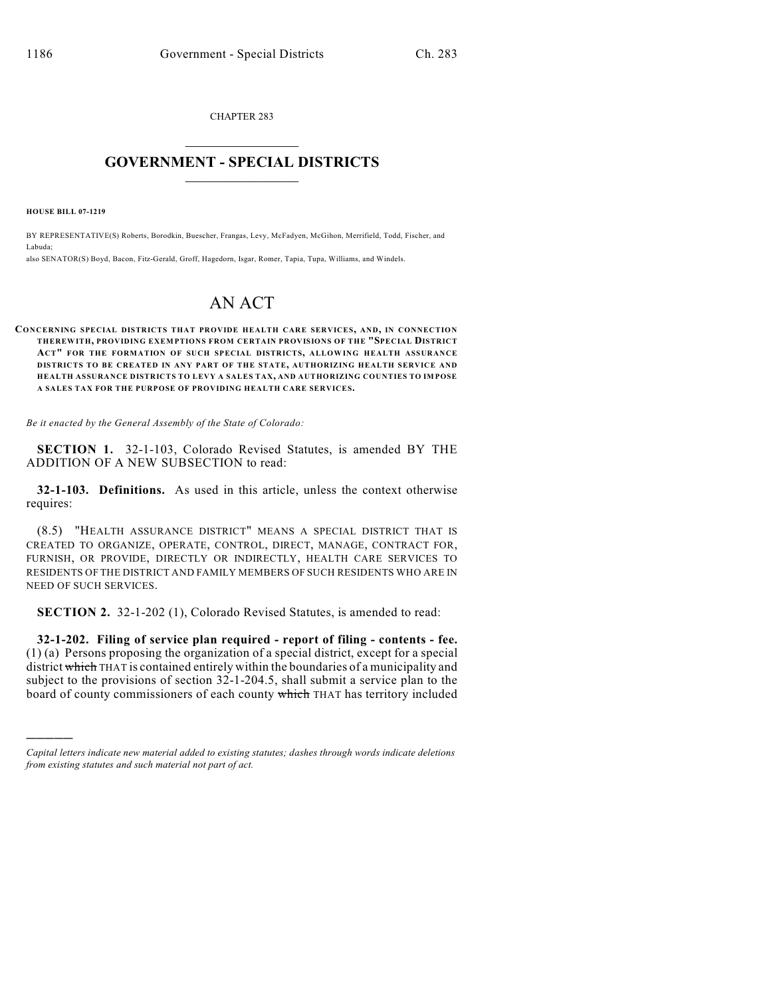CHAPTER 283  $\mathcal{L}_\text{max}$  . The set of the set of the set of the set of the set of the set of the set of the set of the set of the set of the set of the set of the set of the set of the set of the set of the set of the set of the set

## **GOVERNMENT - SPECIAL DISTRICTS**  $\_$

**HOUSE BILL 07-1219**

)))))

BY REPRESENTATIVE(S) Roberts, Borodkin, Buescher, Frangas, Levy, McFadyen, McGihon, Merrifield, Todd, Fischer, and Labuda;

also SENATOR(S) Boyd, Bacon, Fitz-Gerald, Groff, Hagedorn, Isgar, Romer, Tapia, Tupa, Williams, and Windels.

## AN ACT

**CONCERNING SPECIAL DISTRICTS THAT PROVIDE HEALTH CARE SERVICES, AND, IN CONNECTIO N THEREWITH, PROVIDING EXEMPTIONS FROM CERTAIN PROVISIONS OF THE "SPECIAL DISTRICT ACT" FOR THE FORMATION OF SUCH SPECIAL DISTRICTS, ALLOWING HEALTH ASSURANCE DISTRICTS TO BE CREATED IN ANY PART OF THE STATE, AUTHORIZING HEALTH SERVICE AND HEALTH ASSURANCE DISTRICTS TO LEVY A SALES TAX, AND AUTHORIZING COUNTIES TO IMPOSE A SALES TAX FOR THE PURPOSE OF PROVIDING HEALTH CARE SERVICES.**

*Be it enacted by the General Assembly of the State of Colorado:*

**SECTION 1.** 32-1-103, Colorado Revised Statutes, is amended BY THE ADDITION OF A NEW SUBSECTION to read:

**32-1-103. Definitions.** As used in this article, unless the context otherwise requires:

(8.5) "HEALTH ASSURANCE DISTRICT" MEANS A SPECIAL DISTRICT THAT IS CREATED TO ORGANIZE, OPERATE, CONTROL, DIRECT, MANAGE, CONTRACT FOR, FURNISH, OR PROVIDE, DIRECTLY OR INDIRECTLY, HEALTH CARE SERVICES TO RESIDENTS OF THE DISTRICT AND FAMILY MEMBERS OF SUCH RESIDENTS WHO ARE IN NEED OF SUCH SERVICES.

**SECTION 2.** 32-1-202 (1), Colorado Revised Statutes, is amended to read:

**32-1-202. Filing of service plan required - report of filing - contents - fee.** (1) (a) Persons proposing the organization of a special district, except for a special district which THAT is contained entirely within the boundaries of a municipality and subject to the provisions of section 32-1-204.5, shall submit a service plan to the board of county commissioners of each county which THAT has territory included

*Capital letters indicate new material added to existing statutes; dashes through words indicate deletions from existing statutes and such material not part of act.*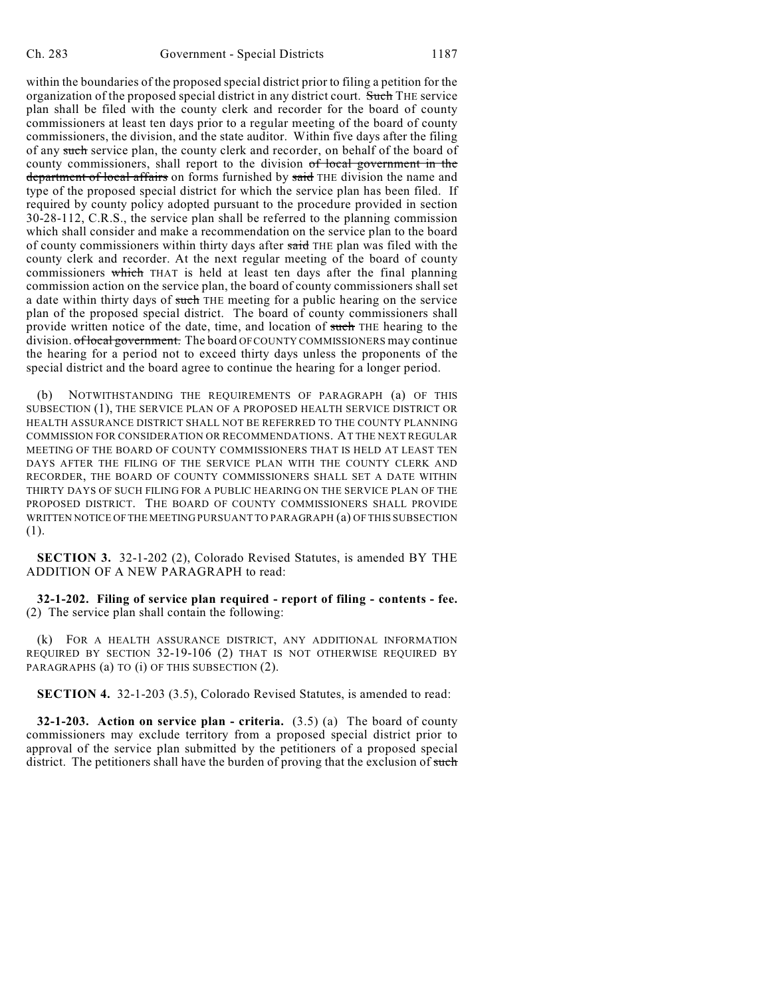within the boundaries of the proposed special district prior to filing a petition for the organization of the proposed special district in any district court. Such THE service plan shall be filed with the county clerk and recorder for the board of county commissioners at least ten days prior to a regular meeting of the board of county commissioners, the division, and the state auditor. Within five days after the filing of any such service plan, the county clerk and recorder, on behalf of the board of county commissioners, shall report to the division  $of$  local government in the department of local affairs on forms furnished by said THE division the name and type of the proposed special district for which the service plan has been filed. If required by county policy adopted pursuant to the procedure provided in section 30-28-112, C.R.S., the service plan shall be referred to the planning commission which shall consider and make a recommendation on the service plan to the board of county commissioners within thirty days after said THE plan was filed with the county clerk and recorder. At the next regular meeting of the board of county commissioners which THAT is held at least ten days after the final planning commission action on the service plan, the board of county commissioners shall set a date within thirty days of such THE meeting for a public hearing on the service plan of the proposed special district. The board of county commissioners shall provide written notice of the date, time, and location of such THE hearing to the division. of local government. The board OF COUNTY COMMISSIONERS may continue the hearing for a period not to exceed thirty days unless the proponents of the special district and the board agree to continue the hearing for a longer period.

NOTWITHSTANDING THE REQUIREMENTS OF PARAGRAPH (a) OF THIS SUBSECTION (1), THE SERVICE PLAN OF A PROPOSED HEALTH SERVICE DISTRICT OR HEALTH ASSURANCE DISTRICT SHALL NOT BE REFERRED TO THE COUNTY PLANNING COMMISSION FOR CONSIDERATION OR RECOMMENDATIONS. AT THE NEXT REGULAR MEETING OF THE BOARD OF COUNTY COMMISSIONERS THAT IS HELD AT LEAST TEN DAYS AFTER THE FILING OF THE SERVICE PLAN WITH THE COUNTY CLERK AND RECORDER, THE BOARD OF COUNTY COMMISSIONERS SHALL SET A DATE WITHIN THIRTY DAYS OF SUCH FILING FOR A PUBLIC HEARING ON THE SERVICE PLAN OF THE PROPOSED DISTRICT. THE BOARD OF COUNTY COMMISSIONERS SHALL PROVIDE WRITTEN NOTICE OF THE MEETING PURSUANT TO PARAGRAPH (a) OF THIS SUBSECTION (1).

**SECTION 3.** 32-1-202 (2), Colorado Revised Statutes, is amended BY THE ADDITION OF A NEW PARAGRAPH to read:

**32-1-202. Filing of service plan required - report of filing - contents - fee.** (2) The service plan shall contain the following:

(k) FOR A HEALTH ASSURANCE DISTRICT, ANY ADDITIONAL INFORMATION REQUIRED BY SECTION 32-19-106 (2) THAT IS NOT OTHERWISE REQUIRED BY PARAGRAPHS (a) TO (i) OF THIS SUBSECTION (2).

**SECTION 4.** 32-1-203 (3.5), Colorado Revised Statutes, is amended to read:

**32-1-203. Action on service plan - criteria.** (3.5) (a) The board of county commissioners may exclude territory from a proposed special district prior to approval of the service plan submitted by the petitioners of a proposed special district. The petitioners shall have the burden of proving that the exclusion of such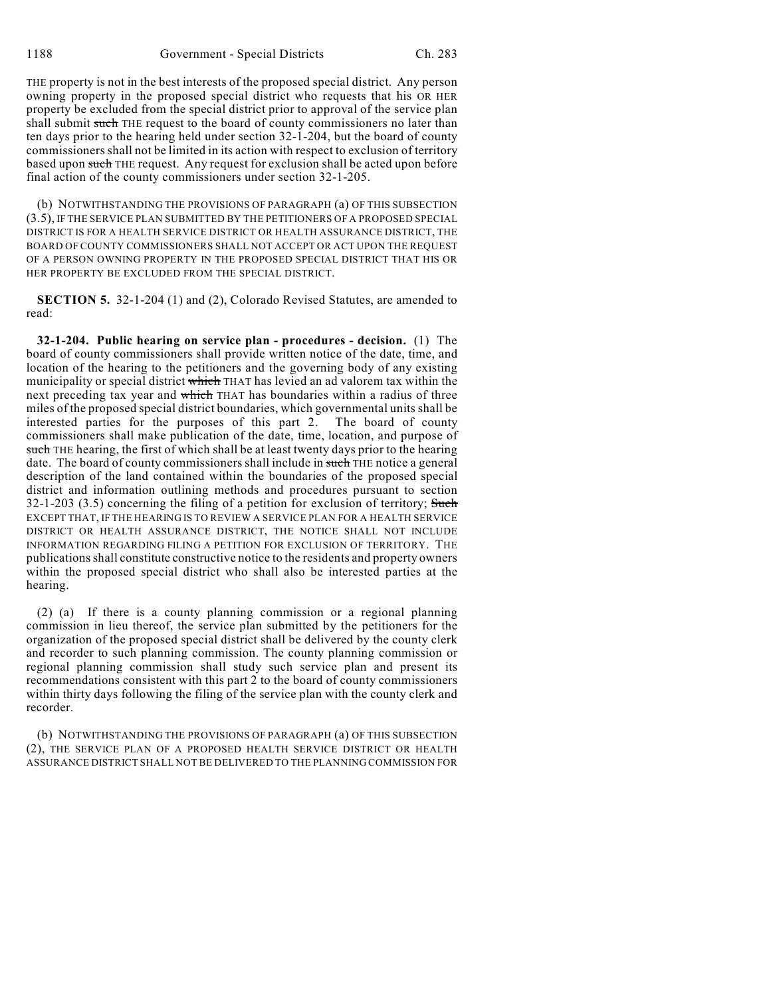THE property is not in the best interests of the proposed special district. Any person owning property in the proposed special district who requests that his OR HER property be excluded from the special district prior to approval of the service plan shall submit such THE request to the board of county commissioners no later than ten days prior to the hearing held under section 32-1-204, but the board of county commissioners shall not be limited in its action with respect to exclusion of territory based upon such THE request. Any request for exclusion shall be acted upon before final action of the county commissioners under section 32-1-205.

(b) NOTWITHSTANDING THE PROVISIONS OF PARAGRAPH (a) OF THIS SUBSECTION (3.5), IF THE SERVICE PLAN SUBMITTED BY THE PETITIONERS OF A PROPOSED SPECIAL DISTRICT IS FOR A HEALTH SERVICE DISTRICT OR HEALTH ASSURANCE DISTRICT, THE BOARD OF COUNTY COMMISSIONERS SHALL NOT ACCEPT OR ACT UPON THE REQUEST OF A PERSON OWNING PROPERTY IN THE PROPOSED SPECIAL DISTRICT THAT HIS OR HER PROPERTY BE EXCLUDED FROM THE SPECIAL DISTRICT.

**SECTION 5.** 32-1-204 (1) and (2), Colorado Revised Statutes, are amended to read:

**32-1-204. Public hearing on service plan - procedures - decision.** (1) The board of county commissioners shall provide written notice of the date, time, and location of the hearing to the petitioners and the governing body of any existing municipality or special district which THAT has levied an ad valorem tax within the next preceding tax year and which THAT has boundaries within a radius of three miles of the proposed special district boundaries, which governmental units shall be interested parties for the purposes of this part 2. The board of county interested parties for the purposes of this part 2. commissioners shall make publication of the date, time, location, and purpose of such THE hearing, the first of which shall be at least twenty days prior to the hearing date. The board of county commissioners shall include in such THE notice a general description of the land contained within the boundaries of the proposed special district and information outlining methods and procedures pursuant to section 32-1-203 (3.5) concerning the filing of a petition for exclusion of territory; Such EXCEPT THAT, IF THE HEARING IS TO REVIEW A SERVICE PLAN FOR A HEALTH SERVICE DISTRICT OR HEALTH ASSURANCE DISTRICT, THE NOTICE SHALL NOT INCLUDE INFORMATION REGARDING FILING A PETITION FOR EXCLUSION OF TERRITORY. THE publications shall constitute constructive notice to the residents and property owners within the proposed special district who shall also be interested parties at the hearing.

(2) (a) If there is a county planning commission or a regional planning commission in lieu thereof, the service plan submitted by the petitioners for the organization of the proposed special district shall be delivered by the county clerk and recorder to such planning commission. The county planning commission or regional planning commission shall study such service plan and present its recommendations consistent with this part 2 to the board of county commissioners within thirty days following the filing of the service plan with the county clerk and recorder.

(b) NOTWITHSTANDING THE PROVISIONS OF PARAGRAPH (a) OF THIS SUBSECTION (2), THE SERVICE PLAN OF A PROPOSED HEALTH SERVICE DISTRICT OR HEALTH ASSURANCE DISTRICT SHALL NOT BE DELIVERED TO THE PLANNING COMMISSION FOR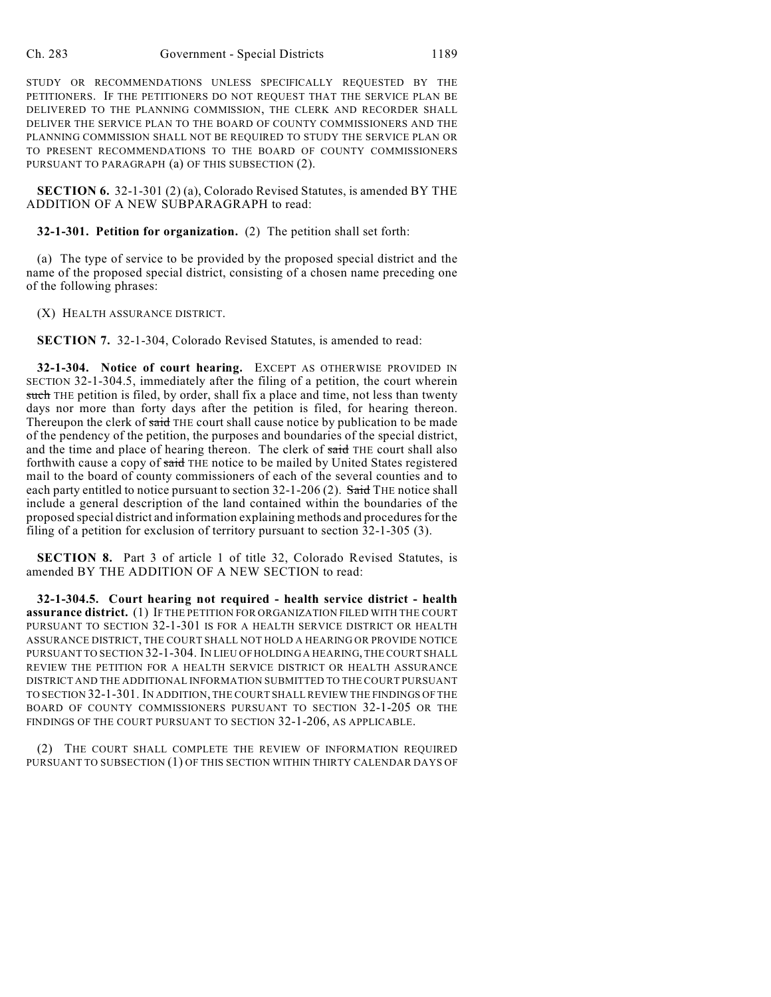STUDY OR RECOMMENDATIONS UNLESS SPECIFICALLY REQUESTED BY THE PETITIONERS. IF THE PETITIONERS DO NOT REQUEST THAT THE SERVICE PLAN BE DELIVERED TO THE PLANNING COMMISSION, THE CLERK AND RECORDER SHALL DELIVER THE SERVICE PLAN TO THE BOARD OF COUNTY COMMISSIONERS AND THE PLANNING COMMISSION SHALL NOT BE REQUIRED TO STUDY THE SERVICE PLAN OR TO PRESENT RECOMMENDATIONS TO THE BOARD OF COUNTY COMMISSIONERS PURSUANT TO PARAGRAPH (a) OF THIS SUBSECTION (2).

**SECTION 6.** 32-1-301 (2) (a), Colorado Revised Statutes, is amended BY THE ADDITION OF A NEW SUBPARAGRAPH to read:

**32-1-301. Petition for organization.** (2) The petition shall set forth:

(a) The type of service to be provided by the proposed special district and the name of the proposed special district, consisting of a chosen name preceding one of the following phrases:

(X) HEALTH ASSURANCE DISTRICT.

**SECTION 7.** 32-1-304, Colorado Revised Statutes, is amended to read:

**32-1-304. Notice of court hearing.** EXCEPT AS OTHERWISE PROVIDED IN SECTION 32-1-304.5, immediately after the filing of a petition, the court wherein such THE petition is filed, by order, shall fix a place and time, not less than twenty days nor more than forty days after the petition is filed, for hearing thereon. Thereupon the clerk of said THE court shall cause notice by publication to be made of the pendency of the petition, the purposes and boundaries of the special district, and the time and place of hearing thereon. The clerk of said THE court shall also forthwith cause a copy of said THE notice to be mailed by United States registered mail to the board of county commissioners of each of the several counties and to each party entitled to notice pursuant to section 32-1-206 (2). Said THE notice shall include a general description of the land contained within the boundaries of the proposed special district and information explaining methods and procedures for the filing of a petition for exclusion of territory pursuant to section 32-1-305 (3).

**SECTION 8.** Part 3 of article 1 of title 32, Colorado Revised Statutes, is amended BY THE ADDITION OF A NEW SECTION to read:

**32-1-304.5. Court hearing not required - health service district - health assurance district.** (1) IF THE PETITION FOR ORGANIZATION FILED WITH THE COURT PURSUANT TO SECTION 32-1-301 IS FOR A HEALTH SERVICE DISTRICT OR HEALTH ASSURANCE DISTRICT, THE COURT SHALL NOT HOLD A HEARING OR PROVIDE NOTICE PURSUANT TO SECTION 32-1-304. IN LIEU OF HOLDING A HEARING, THE COURT SHALL REVIEW THE PETITION FOR A HEALTH SERVICE DISTRICT OR HEALTH ASSURANCE DISTRICT AND THE ADDITIONAL INFORMATION SUBMITTED TO THE COURT PURSUANT TO SECTION 32-1-301. IN ADDITION, THE COURT SHALL REVIEW THE FINDINGS OF THE BOARD OF COUNTY COMMISSIONERS PURSUANT TO SECTION 32-1-205 OR THE FINDINGS OF THE COURT PURSUANT TO SECTION 32-1-206, AS APPLICABLE.

(2) THE COURT SHALL COMPLETE THE REVIEW OF INFORMATION REQUIRED PURSUANT TO SUBSECTION (1) OF THIS SECTION WITHIN THIRTY CALENDAR DAYS OF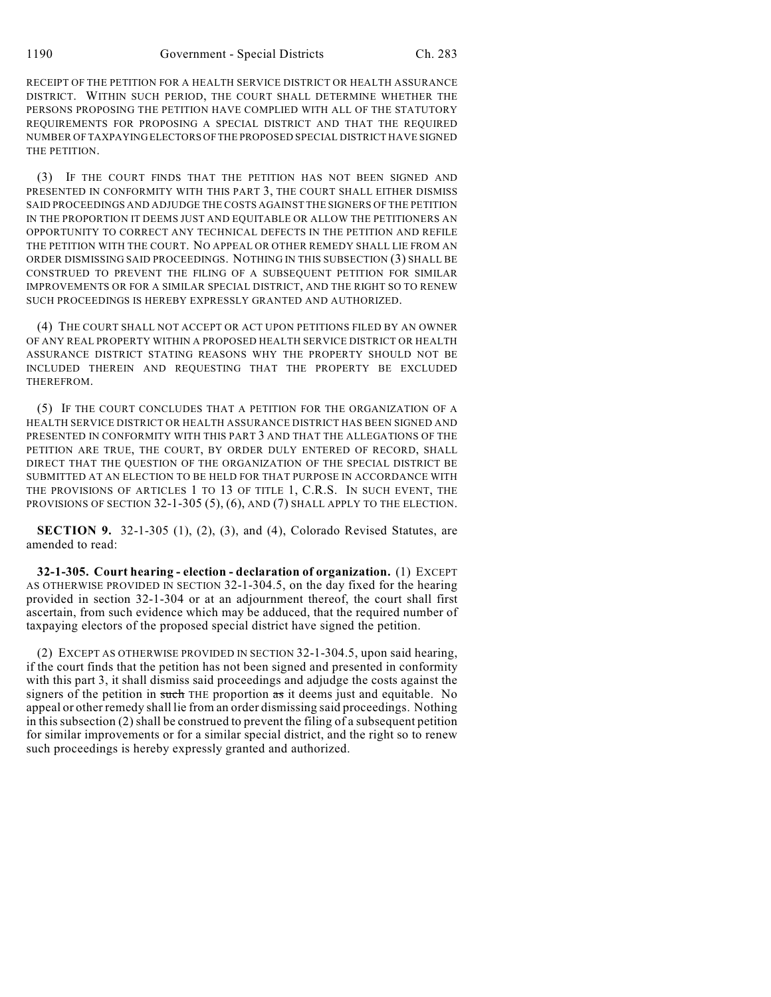RECEIPT OF THE PETITION FOR A HEALTH SERVICE DISTRICT OR HEALTH ASSURANCE DISTRICT. WITHIN SUCH PERIOD, THE COURT SHALL DETERMINE WHETHER THE PERSONS PROPOSING THE PETITION HAVE COMPLIED WITH ALL OF THE STATUTORY REQUIREMENTS FOR PROPOSING A SPECIAL DISTRICT AND THAT THE REQUIRED NUMBER OF TAXPAYING ELECTORS OF THE PROPOSED SPECIAL DISTRICT HAVE SIGNED THE PETITION.

(3) IF THE COURT FINDS THAT THE PETITION HAS NOT BEEN SIGNED AND PRESENTED IN CONFORMITY WITH THIS PART 3, THE COURT SHALL EITHER DISMISS SAID PROCEEDINGS AND ADJUDGE THE COSTS AGAINST THE SIGNERS OF THE PETITION IN THE PROPORTION IT DEEMS JUST AND EQUITABLE OR ALLOW THE PETITIONERS AN OPPORTUNITY TO CORRECT ANY TECHNICAL DEFECTS IN THE PETITION AND REFILE THE PETITION WITH THE COURT. NO APPEAL OR OTHER REMEDY SHALL LIE FROM AN ORDER DISMISSING SAID PROCEEDINGS. NOTHING IN THIS SUBSECTION (3) SHALL BE CONSTRUED TO PREVENT THE FILING OF A SUBSEQUENT PETITION FOR SIMILAR IMPROVEMENTS OR FOR A SIMILAR SPECIAL DISTRICT, AND THE RIGHT SO TO RENEW SUCH PROCEEDINGS IS HEREBY EXPRESSLY GRANTED AND AUTHORIZED.

(4) THE COURT SHALL NOT ACCEPT OR ACT UPON PETITIONS FILED BY AN OWNER OF ANY REAL PROPERTY WITHIN A PROPOSED HEALTH SERVICE DISTRICT OR HEALTH ASSURANCE DISTRICT STATING REASONS WHY THE PROPERTY SHOULD NOT BE INCLUDED THEREIN AND REQUESTING THAT THE PROPERTY BE EXCLUDED THEREFROM.

(5) IF THE COURT CONCLUDES THAT A PETITION FOR THE ORGANIZATION OF A HEALTH SERVICE DISTRICT OR HEALTH ASSURANCE DISTRICT HAS BEEN SIGNED AND PRESENTED IN CONFORMITY WITH THIS PART 3 AND THAT THE ALLEGATIONS OF THE PETITION ARE TRUE, THE COURT, BY ORDER DULY ENTERED OF RECORD, SHALL DIRECT THAT THE QUESTION OF THE ORGANIZATION OF THE SPECIAL DISTRICT BE SUBMITTED AT AN ELECTION TO BE HELD FOR THAT PURPOSE IN ACCORDANCE WITH THE PROVISIONS OF ARTICLES 1 TO 13 OF TITLE 1, C.R.S. IN SUCH EVENT, THE PROVISIONS OF SECTION 32-1-305 (5), (6), AND (7) SHALL APPLY TO THE ELECTION.

**SECTION 9.** 32-1-305 (1), (2), (3), and (4), Colorado Revised Statutes, are amended to read:

**32-1-305. Court hearing - election - declaration of organization.** (1) EXCEPT AS OTHERWISE PROVIDED IN SECTION 32-1-304.5, on the day fixed for the hearing provided in section 32-1-304 or at an adjournment thereof, the court shall first ascertain, from such evidence which may be adduced, that the required number of taxpaying electors of the proposed special district have signed the petition.

(2) EXCEPT AS OTHERWISE PROVIDED IN SECTION 32-1-304.5, upon said hearing, if the court finds that the petition has not been signed and presented in conformity with this part 3, it shall dismiss said proceedings and adjudge the costs against the signers of the petition in such THE proportion  $\overline{a}$  as it deems just and equitable. No appeal or other remedy shall lie from an order dismissing said proceedings. Nothing in this subsection (2) shall be construed to prevent the filing of a subsequent petition for similar improvements or for a similar special district, and the right so to renew such proceedings is hereby expressly granted and authorized.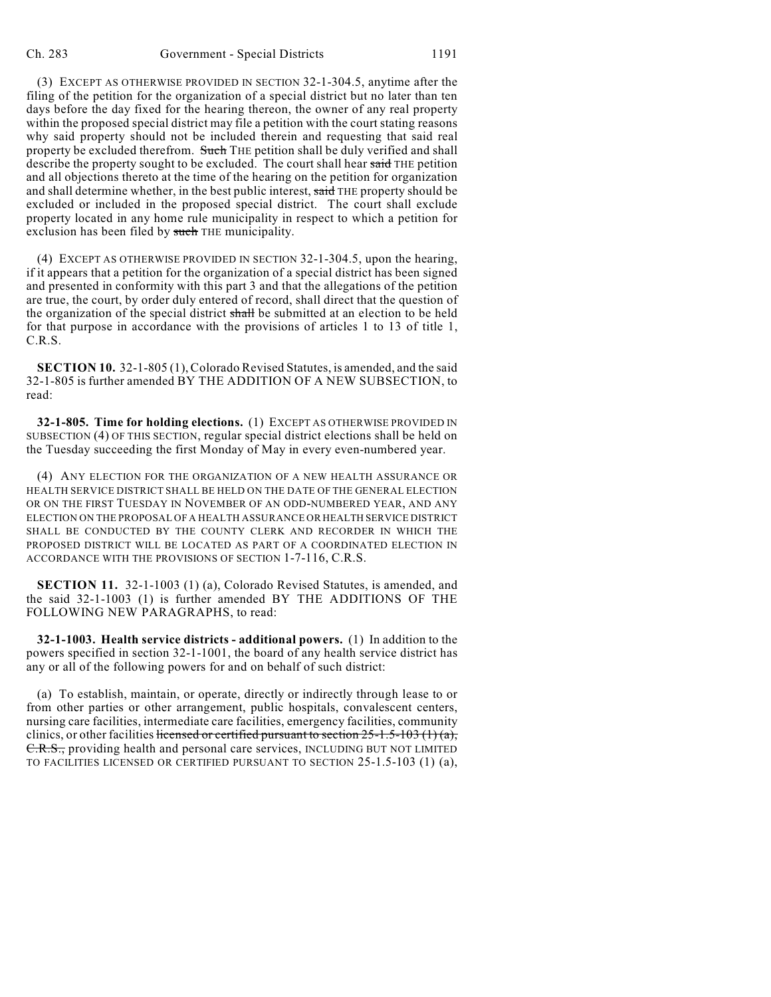(3) EXCEPT AS OTHERWISE PROVIDED IN SECTION 32-1-304.5, anytime after the filing of the petition for the organization of a special district but no later than ten days before the day fixed for the hearing thereon, the owner of any real property within the proposed special district may file a petition with the court stating reasons why said property should not be included therein and requesting that said real property be excluded therefrom. Such THE petition shall be duly verified and shall describe the property sought to be excluded. The court shall hear said THE petition and all objections thereto at the time of the hearing on the petition for organization and shall determine whether, in the best public interest, said THE property should be excluded or included in the proposed special district. The court shall exclude property located in any home rule municipality in respect to which a petition for exclusion has been filed by such THE municipality.

(4) EXCEPT AS OTHERWISE PROVIDED IN SECTION 32-1-304.5, upon the hearing, if it appears that a petition for the organization of a special district has been signed and presented in conformity with this part 3 and that the allegations of the petition are true, the court, by order duly entered of record, shall direct that the question of the organization of the special district shall be submitted at an election to be held for that purpose in accordance with the provisions of articles 1 to 13 of title 1, C.R.S.

**SECTION 10.** 32-1-805 (1), Colorado Revised Statutes, is amended, and the said 32-1-805 is further amended BY THE ADDITION OF A NEW SUBSECTION, to read:

**32-1-805. Time for holding elections.** (1) EXCEPT AS OTHERWISE PROVIDED IN SUBSECTION (4) OF THIS SECTION, regular special district elections shall be held on the Tuesday succeeding the first Monday of May in every even-numbered year.

(4) ANY ELECTION FOR THE ORGANIZATION OF A NEW HEALTH ASSURANCE OR HEALTH SERVICE DISTRICT SHALL BE HELD ON THE DATE OF THE GENERAL ELECTION OR ON THE FIRST TUESDAY IN NOVEMBER OF AN ODD-NUMBERED YEAR, AND ANY ELECTION ON THE PROPOSAL OF A HEALTH ASSURANCE OR HEALTH SERVICE DISTRICT SHALL BE CONDUCTED BY THE COUNTY CLERK AND RECORDER IN WHICH THE PROPOSED DISTRICT WILL BE LOCATED AS PART OF A COORDINATED ELECTION IN ACCORDANCE WITH THE PROVISIONS OF SECTION 1-7-116, C.R.S.

**SECTION 11.** 32-1-1003 (1) (a), Colorado Revised Statutes, is amended, and the said 32-1-1003 (1) is further amended BY THE ADDITIONS OF THE FOLLOWING NEW PARAGRAPHS, to read:

**32-1-1003. Health service districts - additional powers.** (1) In addition to the powers specified in section 32-1-1001, the board of any health service district has any or all of the following powers for and on behalf of such district:

(a) To establish, maintain, or operate, directly or indirectly through lease to or from other parties or other arrangement, public hospitals, convalescent centers, nursing care facilities, intermediate care facilities, emergency facilities, community clinics, or other facilities licensed or certified pursuant to section  $25-1.5-103$  (1) (a), C.R.S., providing health and personal care services, INCLUDING BUT NOT LIMITED TO FACILITIES LICENSED OR CERTIFIED PURSUANT TO SECTION 25-1.5-103 (1) (a),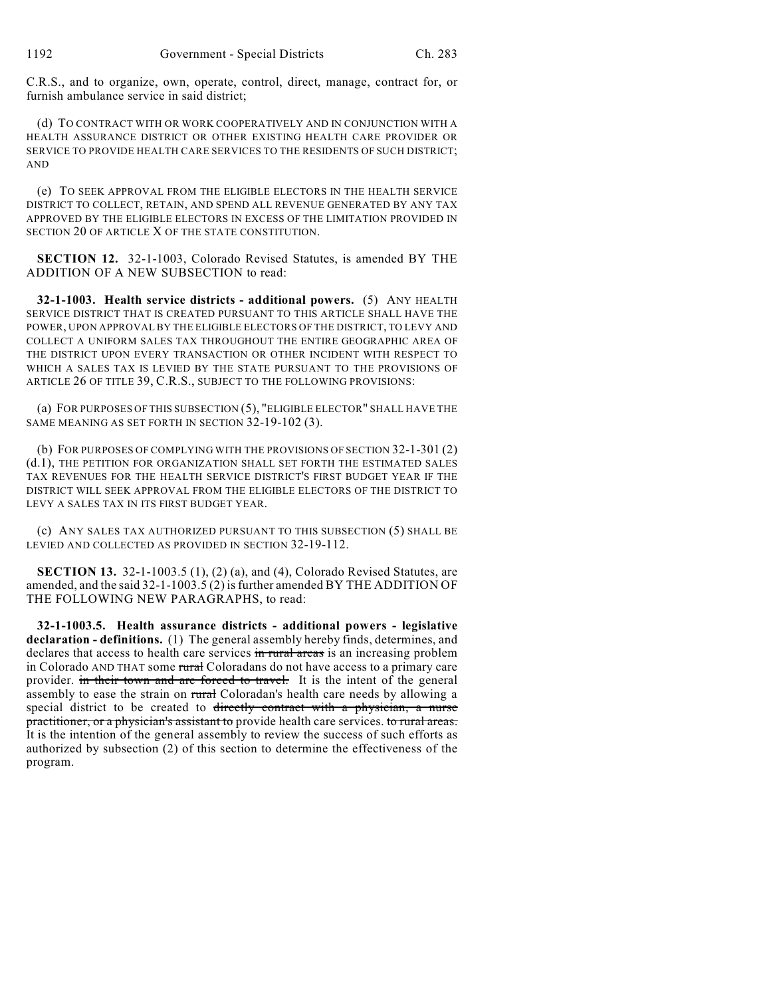C.R.S., and to organize, own, operate, control, direct, manage, contract for, or furnish ambulance service in said district;

(d) TO CONTRACT WITH OR WORK COOPERATIVELY AND IN CONJUNCTION WITH A HEALTH ASSURANCE DISTRICT OR OTHER EXISTING HEALTH CARE PROVIDER OR SERVICE TO PROVIDE HEALTH CARE SERVICES TO THE RESIDENTS OF SUCH DISTRICT; AND

(e) TO SEEK APPROVAL FROM THE ELIGIBLE ELECTORS IN THE HEALTH SERVICE DISTRICT TO COLLECT, RETAIN, AND SPEND ALL REVENUE GENERATED BY ANY TAX APPROVED BY THE ELIGIBLE ELECTORS IN EXCESS OF THE LIMITATION PROVIDED IN SECTION 20 OF ARTICLE X OF THE STATE CONSTITUTION.

**SECTION 12.** 32-1-1003, Colorado Revised Statutes, is amended BY THE ADDITION OF A NEW SUBSECTION to read:

**32-1-1003. Health service districts - additional powers.** (5) ANY HEALTH SERVICE DISTRICT THAT IS CREATED PURSUANT TO THIS ARTICLE SHALL HAVE THE POWER, UPON APPROVAL BY THE ELIGIBLE ELECTORS OF THE DISTRICT, TO LEVY AND COLLECT A UNIFORM SALES TAX THROUGHOUT THE ENTIRE GEOGRAPHIC AREA OF THE DISTRICT UPON EVERY TRANSACTION OR OTHER INCIDENT WITH RESPECT TO WHICH A SALES TAX IS LEVIED BY THE STATE PURSUANT TO THE PROVISIONS OF ARTICLE 26 OF TITLE 39, C.R.S., SUBJECT TO THE FOLLOWING PROVISIONS:

(a) FOR PURPOSES OF THIS SUBSECTION (5), "ELIGIBLE ELECTOR" SHALL HAVE THE SAME MEANING AS SET FORTH IN SECTION 32-19-102 (3).

(b) FOR PURPOSES OF COMPLYING WITH THE PROVISIONS OF SECTION 32-1-301 (2) (d.1), THE PETITION FOR ORGANIZATION SHALL SET FORTH THE ESTIMATED SALES TAX REVENUES FOR THE HEALTH SERVICE DISTRICT'S FIRST BUDGET YEAR IF THE DISTRICT WILL SEEK APPROVAL FROM THE ELIGIBLE ELECTORS OF THE DISTRICT TO LEVY A SALES TAX IN ITS FIRST BUDGET YEAR.

(c) ANY SALES TAX AUTHORIZED PURSUANT TO THIS SUBSECTION (5) SHALL BE LEVIED AND COLLECTED AS PROVIDED IN SECTION 32-19-112.

**SECTION 13.** 32-1-1003.5 (1), (2) (a), and (4), Colorado Revised Statutes, are amended, and the said 32-1-1003.5 (2) is further amended BY THE ADDITION OF THE FOLLOWING NEW PARAGRAPHS, to read:

**32-1-1003.5. Health assurance districts - additional powers - legislative declaration - definitions.** (1) The general assembly hereby finds, determines, and declares that access to health care services in rural areas is an increasing problem in Colorado AND THAT some rural Coloradans do not have access to a primary care provider. in their town and are forced to travel. It is the intent of the general assembly to ease the strain on rural Coloradan's health care needs by allowing a special district to be created to directly contract with a physician, a nurse practitioner, or a physician's assistant to provide health care services. to rural areas. It is the intention of the general assembly to review the success of such efforts as authorized by subsection (2) of this section to determine the effectiveness of the program.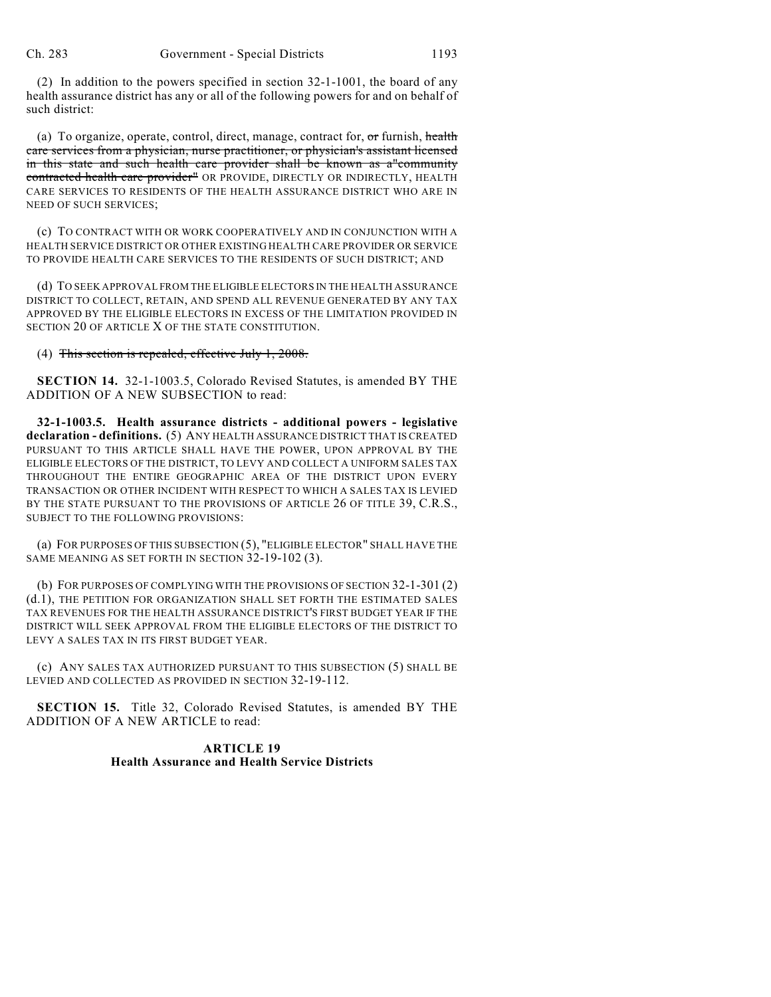(2) In addition to the powers specified in section 32-1-1001, the board of any health assurance district has any or all of the following powers for and on behalf of such district:

(a) To organize, operate, control, direct, manage, contract for, or furnish, health care services from a physician, nurse practitioner, or physician's assistant licensed in this state and such health care provider shall be known as a"community contracted health care provider<sup>11</sup> OR PROVIDE, DIRECTLY OR INDIRECTLY, HEALTH CARE SERVICES TO RESIDENTS OF THE HEALTH ASSURANCE DISTRICT WHO ARE IN NEED OF SUCH SERVICES;

(c) TO CONTRACT WITH OR WORK COOPERATIVELY AND IN CONJUNCTION WITH A HEALTH SERVICE DISTRICT OR OTHER EXISTING HEALTH CARE PROVIDER OR SERVICE TO PROVIDE HEALTH CARE SERVICES TO THE RESIDENTS OF SUCH DISTRICT; AND

(d) TO SEEK APPROVAL FROM THE ELIGIBLE ELECTORS IN THE HEALTH ASSURANCE DISTRICT TO COLLECT, RETAIN, AND SPEND ALL REVENUE GENERATED BY ANY TAX APPROVED BY THE ELIGIBLE ELECTORS IN EXCESS OF THE LIMITATION PROVIDED IN SECTION 20 OF ARTICLE X OF THE STATE CONSTITUTION.

(4) This section is repealed, effective July 1, 2008.

**SECTION 14.** 32-1-1003.5, Colorado Revised Statutes, is amended BY THE ADDITION OF A NEW SUBSECTION to read:

**32-1-1003.5. Health assurance districts - additional powers - legislative declaration - definitions.** (5) ANY HEALTH ASSURANCE DISTRICT THAT IS CREATED PURSUANT TO THIS ARTICLE SHALL HAVE THE POWER, UPON APPROVAL BY THE ELIGIBLE ELECTORS OF THE DISTRICT, TO LEVY AND COLLECT A UNIFORM SALES TAX THROUGHOUT THE ENTIRE GEOGRAPHIC AREA OF THE DISTRICT UPON EVERY TRANSACTION OR OTHER INCIDENT WITH RESPECT TO WHICH A SALES TAX IS LEVIED BY THE STATE PURSUANT TO THE PROVISIONS OF ARTICLE 26 OF TITLE 39, C.R.S., SUBJECT TO THE FOLLOWING PROVISIONS:

(a) FOR PURPOSES OF THIS SUBSECTION (5), "ELIGIBLE ELECTOR" SHALL HAVE THE SAME MEANING AS SET FORTH IN SECTION 32-19-102 (3).

(b) FOR PURPOSES OF COMPLYING WITH THE PROVISIONS OF SECTION 32-1-301 (2) (d.1), THE PETITION FOR ORGANIZATION SHALL SET FORTH THE ESTIMATED SALES TAX REVENUES FOR THE HEALTH ASSURANCE DISTRICT'S FIRST BUDGET YEAR IF THE DISTRICT WILL SEEK APPROVAL FROM THE ELIGIBLE ELECTORS OF THE DISTRICT TO LEVY A SALES TAX IN ITS FIRST BUDGET YEAR.

(c) ANY SALES TAX AUTHORIZED PURSUANT TO THIS SUBSECTION (5) SHALL BE LEVIED AND COLLECTED AS PROVIDED IN SECTION 32-19-112.

**SECTION 15.** Title 32, Colorado Revised Statutes, is amended BY THE ADDITION OF A NEW ARTICLE to read:

## **ARTICLE 19 Health Assurance and Health Service Districts**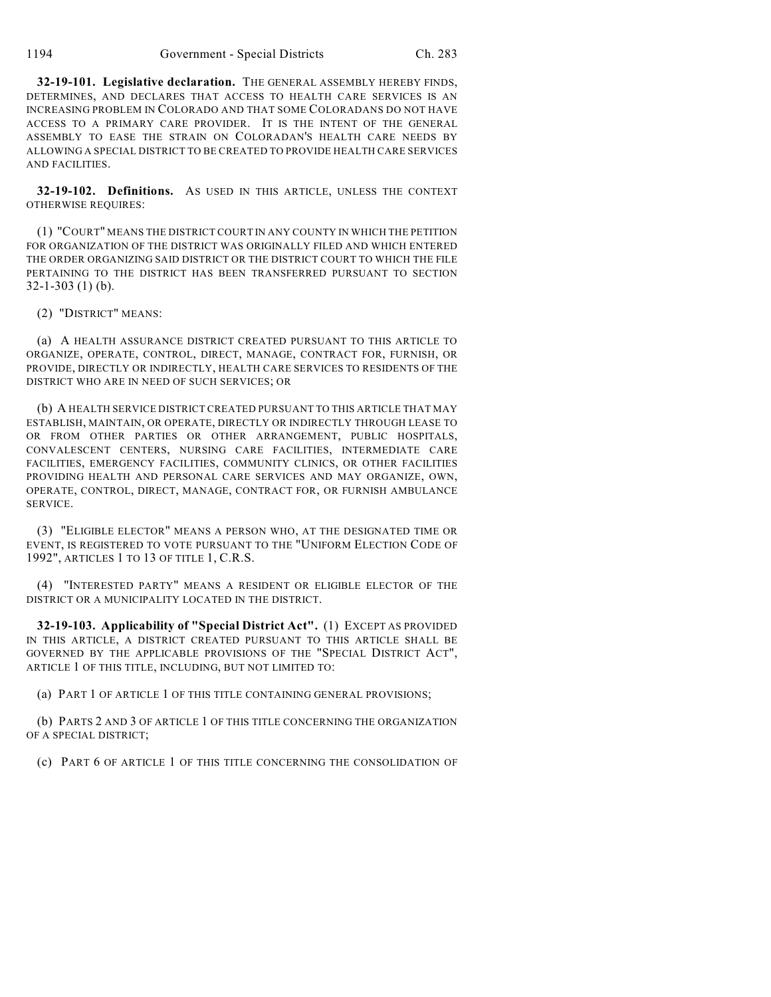**32-19-101. Legislative declaration.** THE GENERAL ASSEMBLY HEREBY FINDS, DETERMINES, AND DECLARES THAT ACCESS TO HEALTH CARE SERVICES IS AN INCREASING PROBLEM IN COLORADO AND THAT SOME COLORADANS DO NOT HAVE ACCESS TO A PRIMARY CARE PROVIDER. IT IS THE INTENT OF THE GENERAL ASSEMBLY TO EASE THE STRAIN ON COLORADAN'S HEALTH CARE NEEDS BY ALLOWING A SPECIAL DISTRICT TO BE CREATED TO PROVIDE HEALTH CARE SERVICES AND FACILITIES.

**32-19-102. Definitions.** AS USED IN THIS ARTICLE, UNLESS THE CONTEXT OTHERWISE REQUIRES:

(1) "COURT" MEANS THE DISTRICT COURT IN ANY COUNTY IN WHICH THE PETITION FOR ORGANIZATION OF THE DISTRICT WAS ORIGINALLY FILED AND WHICH ENTERED THE ORDER ORGANIZING SAID DISTRICT OR THE DISTRICT COURT TO WHICH THE FILE PERTAINING TO THE DISTRICT HAS BEEN TRANSFERRED PURSUANT TO SECTION 32-1-303 (1) (b).

(2) "DISTRICT" MEANS:

(a) A HEALTH ASSURANCE DISTRICT CREATED PURSUANT TO THIS ARTICLE TO ORGANIZE, OPERATE, CONTROL, DIRECT, MANAGE, CONTRACT FOR, FURNISH, OR PROVIDE, DIRECTLY OR INDIRECTLY, HEALTH CARE SERVICES TO RESIDENTS OF THE DISTRICT WHO ARE IN NEED OF SUCH SERVICES; OR

(b) A HEALTH SERVICE DISTRICT CREATED PURSUANT TO THIS ARTICLE THAT MAY ESTABLISH, MAINTAIN, OR OPERATE, DIRECTLY OR INDIRECTLY THROUGH LEASE TO OR FROM OTHER PARTIES OR OTHER ARRANGEMENT, PUBLIC HOSPITALS, CONVALESCENT CENTERS, NURSING CARE FACILITIES, INTERMEDIATE CARE FACILITIES, EMERGENCY FACILITIES, COMMUNITY CLINICS, OR OTHER FACILITIES PROVIDING HEALTH AND PERSONAL CARE SERVICES AND MAY ORGANIZE, OWN, OPERATE, CONTROL, DIRECT, MANAGE, CONTRACT FOR, OR FURNISH AMBULANCE SERVICE.

(3) "ELIGIBLE ELECTOR" MEANS A PERSON WHO, AT THE DESIGNATED TIME OR EVENT, IS REGISTERED TO VOTE PURSUANT TO THE "UNIFORM ELECTION CODE OF 1992", ARTICLES 1 TO 13 OF TITLE 1, C.R.S.

(4) "INTERESTED PARTY" MEANS A RESIDENT OR ELIGIBLE ELECTOR OF THE DISTRICT OR A MUNICIPALITY LOCATED IN THE DISTRICT.

**32-19-103. Applicability of "Special District Act".** (1) EXCEPT AS PROVIDED IN THIS ARTICLE, A DISTRICT CREATED PURSUANT TO THIS ARTICLE SHALL BE GOVERNED BY THE APPLICABLE PROVISIONS OF THE "SPECIAL DISTRICT ACT", ARTICLE 1 OF THIS TITLE, INCLUDING, BUT NOT LIMITED TO:

(a) PART 1 OF ARTICLE 1 OF THIS TITLE CONTAINING GENERAL PROVISIONS;

(b) PARTS 2 AND 3 OF ARTICLE 1 OF THIS TITLE CONCERNING THE ORGANIZATION OF A SPECIAL DISTRICT;

(c) PART 6 OF ARTICLE 1 OF THIS TITLE CONCERNING THE CONSOLIDATION OF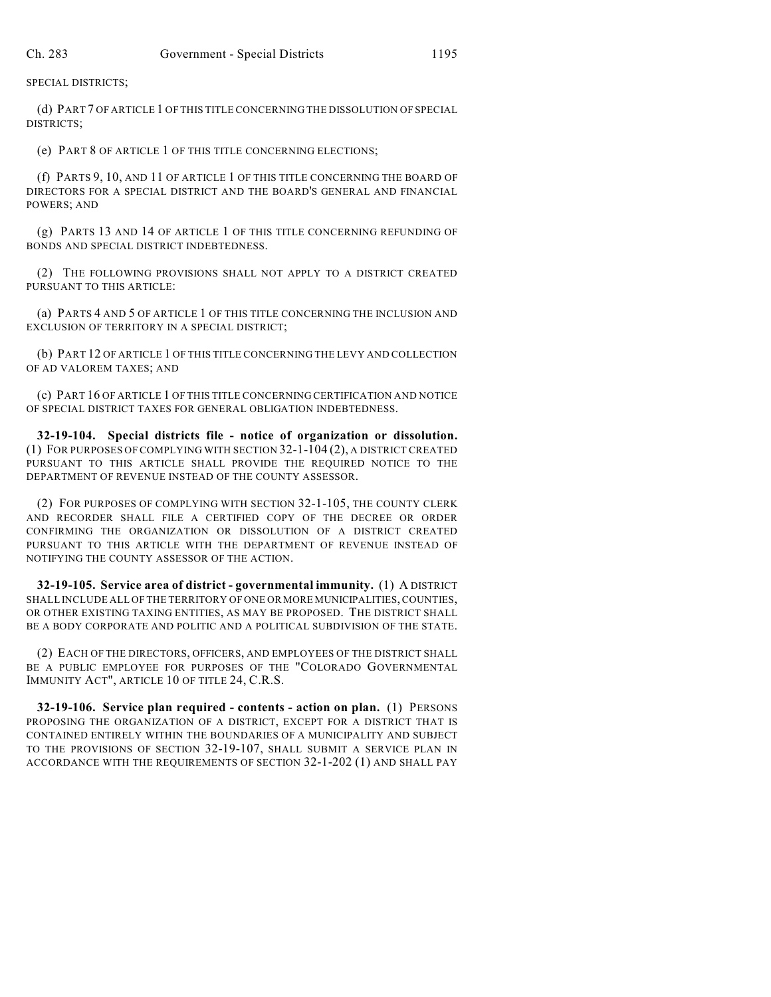SPECIAL DISTRICTS;

(d) PART 7 OF ARTICLE 1 OF THIS TITLE CONCERNING THE DISSOLUTION OF SPECIAL DISTRICTS;

(e) PART 8 OF ARTICLE 1 OF THIS TITLE CONCERNING ELECTIONS;

(f) PARTS 9, 10, AND 11 OF ARTICLE 1 OF THIS TITLE CONCERNING THE BOARD OF DIRECTORS FOR A SPECIAL DISTRICT AND THE BOARD'S GENERAL AND FINANCIAL POWERS; AND

(g) PARTS 13 AND 14 OF ARTICLE 1 OF THIS TITLE CONCERNING REFUNDING OF BONDS AND SPECIAL DISTRICT INDEBTEDNESS.

(2) THE FOLLOWING PROVISIONS SHALL NOT APPLY TO A DISTRICT CREATED PURSUANT TO THIS ARTICLE:

(a) PARTS 4 AND 5 OF ARTICLE 1 OF THIS TITLE CONCERNING THE INCLUSION AND EXCLUSION OF TERRITORY IN A SPECIAL DISTRICT;

(b) PART 12 OF ARTICLE 1 OF THIS TITLE CONCERNING THE LEVY AND COLLECTION OF AD VALOREM TAXES; AND

(c) PART 16 OF ARTICLE 1 OF THIS TITLE CONCERNING CERTIFICATION AND NOTICE OF SPECIAL DISTRICT TAXES FOR GENERAL OBLIGATION INDEBTEDNESS.

**32-19-104. Special districts file - notice of organization or dissolution.** (1) FOR PURPOSES OF COMPLYING WITH SECTION 32-1-104 (2), A DISTRICT CREATED PURSUANT TO THIS ARTICLE SHALL PROVIDE THE REQUIRED NOTICE TO THE DEPARTMENT OF REVENUE INSTEAD OF THE COUNTY ASSESSOR.

(2) FOR PURPOSES OF COMPLYING WITH SECTION 32-1-105, THE COUNTY CLERK AND RECORDER SHALL FILE A CERTIFIED COPY OF THE DECREE OR ORDER CONFIRMING THE ORGANIZATION OR DISSOLUTION OF A DISTRICT CREATED PURSUANT TO THIS ARTICLE WITH THE DEPARTMENT OF REVENUE INSTEAD OF NOTIFYING THE COUNTY ASSESSOR OF THE ACTION.

**32-19-105. Service area of district - governmental immunity.** (1) A DISTRICT SHALL INCLUDE ALL OF THE TERRITORY OF ONE OR MORE MUNICIPALITIES, COUNTIES, OR OTHER EXISTING TAXING ENTITIES, AS MAY BE PROPOSED. THE DISTRICT SHALL BE A BODY CORPORATE AND POLITIC AND A POLITICAL SUBDIVISION OF THE STATE.

(2) EACH OF THE DIRECTORS, OFFICERS, AND EMPLOYEES OF THE DISTRICT SHALL BE A PUBLIC EMPLOYEE FOR PURPOSES OF THE "COLORADO GOVERNMENTAL IMMUNITY ACT", ARTICLE 10 OF TITLE 24, C.R.S.

**32-19-106. Service plan required - contents - action on plan.** (1) PERSONS PROPOSING THE ORGANIZATION OF A DISTRICT, EXCEPT FOR A DISTRICT THAT IS CONTAINED ENTIRELY WITHIN THE BOUNDARIES OF A MUNICIPALITY AND SUBJECT TO THE PROVISIONS OF SECTION 32-19-107, SHALL SUBMIT A SERVICE PLAN IN ACCORDANCE WITH THE REQUIREMENTS OF SECTION 32-1-202 (1) AND SHALL PAY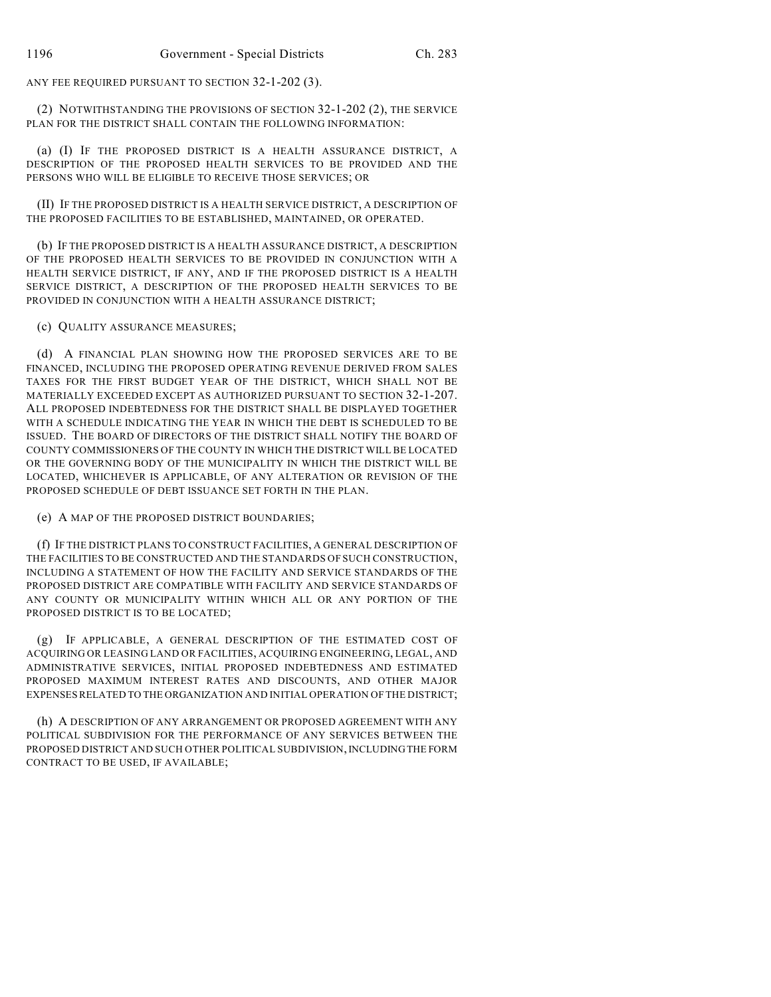ANY FEE REQUIRED PURSUANT TO SECTION 32-1-202 (3).

(2) NOTWITHSTANDING THE PROVISIONS OF SECTION 32-1-202 (2), THE SERVICE PLAN FOR THE DISTRICT SHALL CONTAIN THE FOLLOWING INFORMATION:

(a) (I) IF THE PROPOSED DISTRICT IS A HEALTH ASSURANCE DISTRICT, A DESCRIPTION OF THE PROPOSED HEALTH SERVICES TO BE PROVIDED AND THE PERSONS WHO WILL BE ELIGIBLE TO RECEIVE THOSE SERVICES; OR

(II) IF THE PROPOSED DISTRICT IS A HEALTH SERVICE DISTRICT, A DESCRIPTION OF THE PROPOSED FACILITIES TO BE ESTABLISHED, MAINTAINED, OR OPERATED.

(b) IF THE PROPOSED DISTRICT IS A HEALTH ASSURANCE DISTRICT, A DESCRIPTION OF THE PROPOSED HEALTH SERVICES TO BE PROVIDED IN CONJUNCTION WITH A HEALTH SERVICE DISTRICT, IF ANY, AND IF THE PROPOSED DISTRICT IS A HEALTH SERVICE DISTRICT, A DESCRIPTION OF THE PROPOSED HEALTH SERVICES TO BE PROVIDED IN CONJUNCTION WITH A HEALTH ASSURANCE DISTRICT;

(c) QUALITY ASSURANCE MEASURES;

(d) A FINANCIAL PLAN SHOWING HOW THE PROPOSED SERVICES ARE TO BE FINANCED, INCLUDING THE PROPOSED OPERATING REVENUE DERIVED FROM SALES TAXES FOR THE FIRST BUDGET YEAR OF THE DISTRICT, WHICH SHALL NOT BE MATERIALLY EXCEEDED EXCEPT AS AUTHORIZED PURSUANT TO SECTION 32-1-207. ALL PROPOSED INDEBTEDNESS FOR THE DISTRICT SHALL BE DISPLAYED TOGETHER WITH A SCHEDULE INDICATING THE YEAR IN WHICH THE DEBT IS SCHEDULED TO BE ISSUED. THE BOARD OF DIRECTORS OF THE DISTRICT SHALL NOTIFY THE BOARD OF COUNTY COMMISSIONERS OF THE COUNTY IN WHICH THE DISTRICT WILL BE LOCATED OR THE GOVERNING BODY OF THE MUNICIPALITY IN WHICH THE DISTRICT WILL BE LOCATED, WHICHEVER IS APPLICABLE, OF ANY ALTERATION OR REVISION OF THE PROPOSED SCHEDULE OF DEBT ISSUANCE SET FORTH IN THE PLAN.

(e) A MAP OF THE PROPOSED DISTRICT BOUNDARIES;

(f) IF THE DISTRICT PLANS TO CONSTRUCT FACILITIES, A GENERAL DESCRIPTION OF THE FACILITIES TO BE CONSTRUCTED AND THE STANDARDS OF SUCH CONSTRUCTION, INCLUDING A STATEMENT OF HOW THE FACILITY AND SERVICE STANDARDS OF THE PROPOSED DISTRICT ARE COMPATIBLE WITH FACILITY AND SERVICE STANDARDS OF ANY COUNTY OR MUNICIPALITY WITHIN WHICH ALL OR ANY PORTION OF THE PROPOSED DISTRICT IS TO BE LOCATED;

(g) IF APPLICABLE, A GENERAL DESCRIPTION OF THE ESTIMATED COST OF ACQUIRING OR LEASING LAND OR FACILITIES, ACQUIRING ENGINEERING, LEGAL, AND ADMINISTRATIVE SERVICES, INITIAL PROPOSED INDEBTEDNESS AND ESTIMATED PROPOSED MAXIMUM INTEREST RATES AND DISCOUNTS, AND OTHER MAJOR EXPENSES RELATED TO THE ORGANIZATION AND INITIAL OPERATION OF THE DISTRICT;

(h) A DESCRIPTION OF ANY ARRANGEMENT OR PROPOSED AGREEMENT WITH ANY POLITICAL SUBDIVISION FOR THE PERFORMANCE OF ANY SERVICES BETWEEN THE PROPOSED DISTRICT AND SUCH OTHER POLITICAL SUBDIVISION, INCLUDING THE FORM CONTRACT TO BE USED, IF AVAILABLE;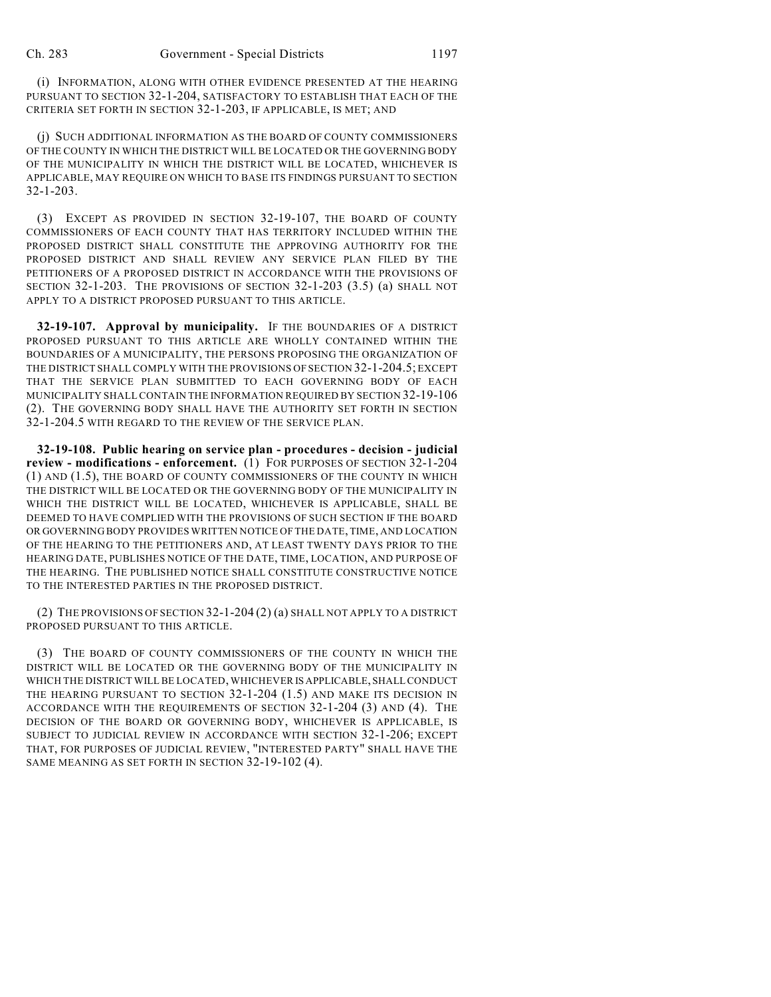(i) INFORMATION, ALONG WITH OTHER EVIDENCE PRESENTED AT THE HEARING PURSUANT TO SECTION 32-1-204, SATISFACTORY TO ESTABLISH THAT EACH OF THE CRITERIA SET FORTH IN SECTION 32-1-203, IF APPLICABLE, IS MET; AND

(j) SUCH ADDITIONAL INFORMATION AS THE BOARD OF COUNTY COMMISSIONERS OF THE COUNTY IN WHICH THE DISTRICT WILL BE LOCATED OR THE GOVERNING BODY OF THE MUNICIPALITY IN WHICH THE DISTRICT WILL BE LOCATED, WHICHEVER IS APPLICABLE, MAY REQUIRE ON WHICH TO BASE ITS FINDINGS PURSUANT TO SECTION 32-1-203.

(3) EXCEPT AS PROVIDED IN SECTION 32-19-107, THE BOARD OF COUNTY COMMISSIONERS OF EACH COUNTY THAT HAS TERRITORY INCLUDED WITHIN THE PROPOSED DISTRICT SHALL CONSTITUTE THE APPROVING AUTHORITY FOR THE PROPOSED DISTRICT AND SHALL REVIEW ANY SERVICE PLAN FILED BY THE PETITIONERS OF A PROPOSED DISTRICT IN ACCORDANCE WITH THE PROVISIONS OF SECTION 32-1-203. THE PROVISIONS OF SECTION 32-1-203 (3.5) (a) SHALL NOT APPLY TO A DISTRICT PROPOSED PURSUANT TO THIS ARTICLE.

**32-19-107. Approval by municipality.** IF THE BOUNDARIES OF A DISTRICT PROPOSED PURSUANT TO THIS ARTICLE ARE WHOLLY CONTAINED WITHIN THE BOUNDARIES OF A MUNICIPALITY, THE PERSONS PROPOSING THE ORGANIZATION OF THE DISTRICT SHALL COMPLY WITH THE PROVISIONS OF SECTION 32-1-204.5; EXCEPT THAT THE SERVICE PLAN SUBMITTED TO EACH GOVERNING BODY OF EACH MUNICIPALITY SHALL CONTAIN THE INFORMATION REQUIRED BY SECTION 32-19-106 (2). THE GOVERNING BODY SHALL HAVE THE AUTHORITY SET FORTH IN SECTION 32-1-204.5 WITH REGARD TO THE REVIEW OF THE SERVICE PLAN.

**32-19-108. Public hearing on service plan - procedures - decision - judicial review - modifications - enforcement.** (1) FOR PURPOSES OF SECTION 32-1-204 (1) AND (1.5), THE BOARD OF COUNTY COMMISSIONERS OF THE COUNTY IN WHICH THE DISTRICT WILL BE LOCATED OR THE GOVERNING BODY OF THE MUNICIPALITY IN WHICH THE DISTRICT WILL BE LOCATED, WHICHEVER IS APPLICABLE, SHALL BE DEEMED TO HAVE COMPLIED WITH THE PROVISIONS OF SUCH SECTION IF THE BOARD OR GOVERNING BODY PROVIDES WRITTEN NOTICE OF THE DATE, TIME, AND LOCATION OF THE HEARING TO THE PETITIONERS AND, AT LEAST TWENTY DAYS PRIOR TO THE HEARING DATE, PUBLISHES NOTICE OF THE DATE, TIME, LOCATION, AND PURPOSE OF THE HEARING. THE PUBLISHED NOTICE SHALL CONSTITUTE CONSTRUCTIVE NOTICE TO THE INTERESTED PARTIES IN THE PROPOSED DISTRICT.

(2) THE PROVISIONS OF SECTION 32-1-204 (2) (a) SHALL NOT APPLY TO A DISTRICT PROPOSED PURSUANT TO THIS ARTICLE.

(3) THE BOARD OF COUNTY COMMISSIONERS OF THE COUNTY IN WHICH THE DISTRICT WILL BE LOCATED OR THE GOVERNING BODY OF THE MUNICIPALITY IN WHICH THE DISTRICT WILL BE LOCATED, WHICHEVER IS APPLICABLE, SHALL CONDUCT THE HEARING PURSUANT TO SECTION 32-1-204 (1.5) AND MAKE ITS DECISION IN ACCORDANCE WITH THE REQUIREMENTS OF SECTION 32-1-204 (3) AND (4). THE DECISION OF THE BOARD OR GOVERNING BODY, WHICHEVER IS APPLICABLE, IS SUBJECT TO JUDICIAL REVIEW IN ACCORDANCE WITH SECTION 32-1-206; EXCEPT THAT, FOR PURPOSES OF JUDICIAL REVIEW, "INTERESTED PARTY" SHALL HAVE THE SAME MEANING AS SET FORTH IN SECTION 32-19-102 (4).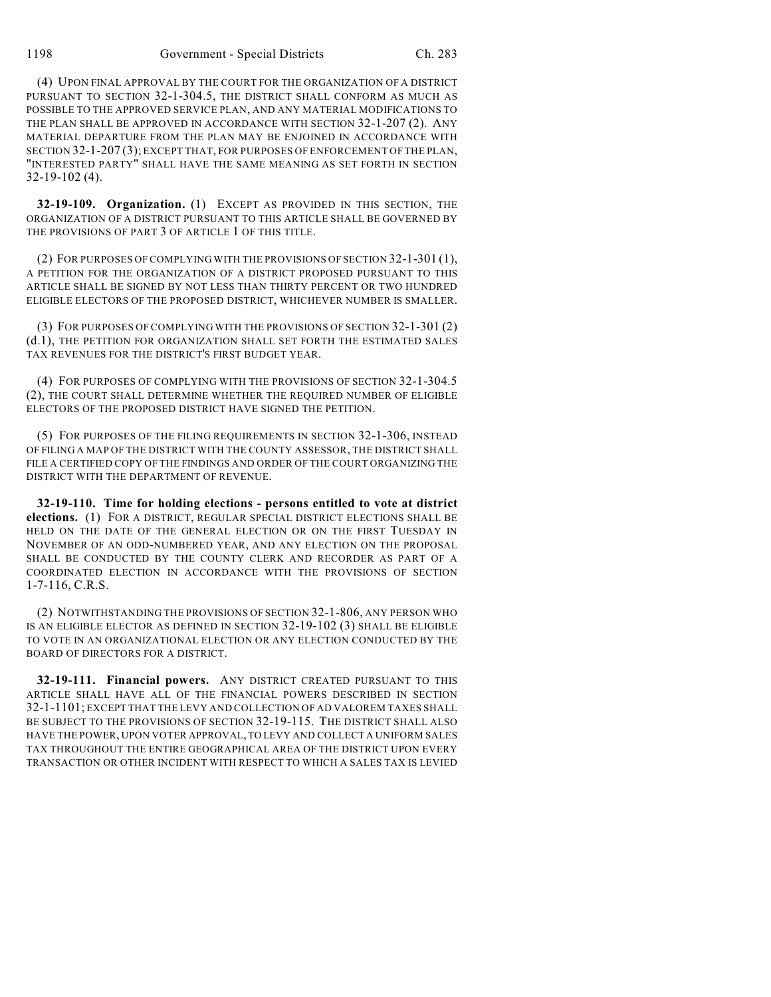(4) UPON FINAL APPROVAL BY THE COURT FOR THE ORGANIZATION OF A DISTRICT PURSUANT TO SECTION 32-1-304.5, THE DISTRICT SHALL CONFORM AS MUCH AS POSSIBLE TO THE APPROVED SERVICE PLAN, AND ANY MATERIAL MODIFICATIONS TO THE PLAN SHALL BE APPROVED IN ACCORDANCE WITH SECTION 32-1-207 (2). ANY MATERIAL DEPARTURE FROM THE PLAN MAY BE ENJOINED IN ACCORDANCE WITH SECTION 32-1-207 (3); EXCEPT THAT, FOR PURPOSES OF ENFORCEMENT OF THE PLAN, "INTERESTED PARTY" SHALL HAVE THE SAME MEANING AS SET FORTH IN SECTION 32-19-102 (4).

**32-19-109. Organization.** (1) EXCEPT AS PROVIDED IN THIS SECTION, THE ORGANIZATION OF A DISTRICT PURSUANT TO THIS ARTICLE SHALL BE GOVERNED BY THE PROVISIONS OF PART 3 OF ARTICLE 1 OF THIS TITLE.

(2) FOR PURPOSES OFCOMPLYING WITH THE PROVISIONS OF SECTION 32-1-301 (1), A PETITION FOR THE ORGANIZATION OF A DISTRICT PROPOSED PURSUANT TO THIS ARTICLE SHALL BE SIGNED BY NOT LESS THAN THIRTY PERCENT OR TWO HUNDRED ELIGIBLE ELECTORS OF THE PROPOSED DISTRICT, WHICHEVER NUMBER IS SMALLER.

(3) FOR PURPOSES OF COMPLYING WITH THE PROVISIONS OF SECTION 32-1-301 (2) (d.1), THE PETITION FOR ORGANIZATION SHALL SET FORTH THE ESTIMATED SALES TAX REVENUES FOR THE DISTRICT'S FIRST BUDGET YEAR.

(4) FOR PURPOSES OF COMPLYING WITH THE PROVISIONS OF SECTION 32-1-304.5 (2), THE COURT SHALL DETERMINE WHETHER THE REQUIRED NUMBER OF ELIGIBLE ELECTORS OF THE PROPOSED DISTRICT HAVE SIGNED THE PETITION.

(5) FOR PURPOSES OF THE FILING REQUIREMENTS IN SECTION 32-1-306, INSTEAD OF FILING A MAP OF THE DISTRICT WITH THE COUNTY ASSESSOR, THE DISTRICT SHALL FILE A CERTIFIED COPY OF THE FINDINGS AND ORDER OF THE COURT ORGANIZING THE DISTRICT WITH THE DEPARTMENT OF REVENUE.

**32-19-110. Time for holding elections - persons entitled to vote at district elections.** (1) FOR A DISTRICT, REGULAR SPECIAL DISTRICT ELECTIONS SHALL BE HELD ON THE DATE OF THE GENERAL ELECTION OR ON THE FIRST TUESDAY IN NOVEMBER OF AN ODD-NUMBERED YEAR, AND ANY ELECTION ON THE PROPOSAL SHALL BE CONDUCTED BY THE COUNTY CLERK AND RECORDER AS PART OF A COORDINATED ELECTION IN ACCORDANCE WITH THE PROVISIONS OF SECTION 1-7-116, C.R.S.

(2) NOTWITHSTANDING THE PROVISIONS OF SECTION 32-1-806, ANY PERSON WHO IS AN ELIGIBLE ELECTOR AS DEFINED IN SECTION 32-19-102 (3) SHALL BE ELIGIBLE TO VOTE IN AN ORGANIZATIONAL ELECTION OR ANY ELECTION CONDUCTED BY THE BOARD OF DIRECTORS FOR A DISTRICT.

**32-19-111. Financial powers.** ANY DISTRICT CREATED PURSUANT TO THIS ARTICLE SHALL HAVE ALL OF THE FINANCIAL POWERS DESCRIBED IN SECTION 32-1-1101; EXCEPT THAT THE LEVY AND COLLECTION OF AD VALOREM TAXES SHALL BE SUBJECT TO THE PROVISIONS OF SECTION 32-19-115. THE DISTRICT SHALL ALSO HAVE THE POWER, UPON VOTER APPROVAL, TO LEVY AND COLLECT A UNIFORM SALES TAX THROUGHOUT THE ENTIRE GEOGRAPHICAL AREA OF THE DISTRICT UPON EVERY TRANSACTION OR OTHER INCIDENT WITH RESPECT TO WHICH A SALES TAX IS LEVIED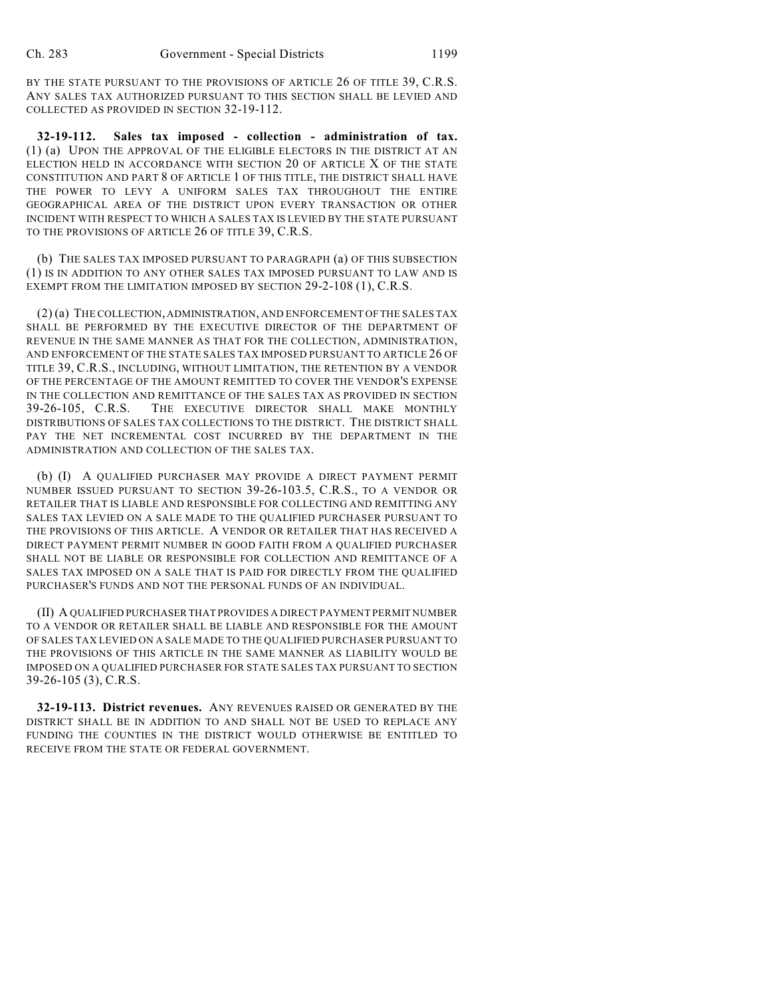BY THE STATE PURSUANT TO THE PROVISIONS OF ARTICLE 26 OF TITLE 39, C.R.S. ANY SALES TAX AUTHORIZED PURSUANT TO THIS SECTION SHALL BE LEVIED AND COLLECTED AS PROVIDED IN SECTION 32-19-112.

**32-19-112. Sales tax imposed - collection - administration of tax.** (1) (a) UPON THE APPROVAL OF THE ELIGIBLE ELECTORS IN THE DISTRICT AT AN ELECTION HELD IN ACCORDANCE WITH SECTION 20 OF ARTICLE X OF THE STATE CONSTITUTION AND PART 8 OF ARTICLE 1 OF THIS TITLE, THE DISTRICT SHALL HAVE THE POWER TO LEVY A UNIFORM SALES TAX THROUGHOUT THE ENTIRE GEOGRAPHICAL AREA OF THE DISTRICT UPON EVERY TRANSACTION OR OTHER INCIDENT WITH RESPECT TO WHICH A SALES TAX IS LEVIED BY THE STATE PURSUANT TO THE PROVISIONS OF ARTICLE 26 OF TITLE 39, C.R.S.

(b) THE SALES TAX IMPOSED PURSUANT TO PARAGRAPH (a) OF THIS SUBSECTION (1) IS IN ADDITION TO ANY OTHER SALES TAX IMPOSED PURSUANT TO LAW AND IS EXEMPT FROM THE LIMITATION IMPOSED BY SECTION 29-2-108 (1), C.R.S.

(2) (a) THE COLLECTION, ADMINISTRATION, AND ENFORCEMENT OF THE SALES TAX SHALL BE PERFORMED BY THE EXECUTIVE DIRECTOR OF THE DEPARTMENT OF REVENUE IN THE SAME MANNER AS THAT FOR THE COLLECTION, ADMINISTRATION, AND ENFORCEMENT OF THE STATE SALES TAX IMPOSED PURSUANT TO ARTICLE 26 OF TITLE 39, C.R.S., INCLUDING, WITHOUT LIMITATION, THE RETENTION BY A VENDOR OF THE PERCENTAGE OF THE AMOUNT REMITTED TO COVER THE VENDOR'S EXPENSE IN THE COLLECTION AND REMITTANCE OF THE SALES TAX AS PROVIDED IN SECTION 39-26-105, C.R.S. THE EXECUTIVE DIRECTOR SHALL MAKE MONTHLY DISTRIBUTIONS OF SALES TAX COLLECTIONS TO THE DISTRICT. THE DISTRICT SHALL PAY THE NET INCREMENTAL COST INCURRED BY THE DEPARTMENT IN THE ADMINISTRATION AND COLLECTION OF THE SALES TAX.

(b) (I) A QUALIFIED PURCHASER MAY PROVIDE A DIRECT PAYMENT PERMIT NUMBER ISSUED PURSUANT TO SECTION 39-26-103.5, C.R.S., TO A VENDOR OR RETAILER THAT IS LIABLE AND RESPONSIBLE FOR COLLECTING AND REMITTING ANY SALES TAX LEVIED ON A SALE MADE TO THE QUALIFIED PURCHASER PURSUANT TO THE PROVISIONS OF THIS ARTICLE. A VENDOR OR RETAILER THAT HAS RECEIVED A DIRECT PAYMENT PERMIT NUMBER IN GOOD FAITH FROM A QUALIFIED PURCHASER SHALL NOT BE LIABLE OR RESPONSIBLE FOR COLLECTION AND REMITTANCE OF A SALES TAX IMPOSED ON A SALE THAT IS PAID FOR DIRECTLY FROM THE QUALIFIED PURCHASER'S FUNDS AND NOT THE PERSONAL FUNDS OF AN INDIVIDUAL.

(II) A QUALIFIED PURCHASER THAT PROVIDES A DIRECT PAYMENT PERMIT NUMBER TO A VENDOR OR RETAILER SHALL BE LIABLE AND RESPONSIBLE FOR THE AMOUNT OF SALES TAX LEVIED ON A SALE MADE TO THE QUALIFIED PURCHASER PURSUANT TO THE PROVISIONS OF THIS ARTICLE IN THE SAME MANNER AS LIABILITY WOULD BE IMPOSED ON A QUALIFIED PURCHASER FOR STATE SALES TAX PURSUANT TO SECTION 39-26-105 (3), C.R.S.

**32-19-113. District revenues.** ANY REVENUES RAISED OR GENERATED BY THE DISTRICT SHALL BE IN ADDITION TO AND SHALL NOT BE USED TO REPLACE ANY FUNDING THE COUNTIES IN THE DISTRICT WOULD OTHERWISE BE ENTITLED TO RECEIVE FROM THE STATE OR FEDERAL GOVERNMENT.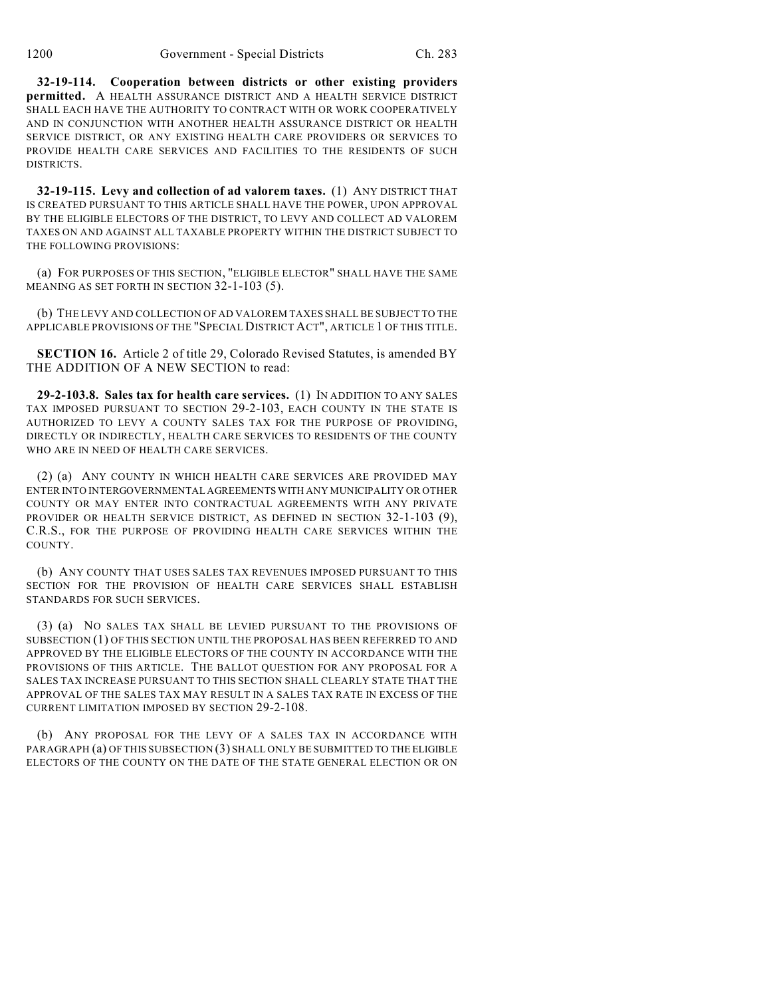**32-19-114. Cooperation between districts or other existing providers permitted.** A HEALTH ASSURANCE DISTRICT AND A HEALTH SERVICE DISTRICT SHALL EACH HAVE THE AUTHORITY TO CONTRACT WITH OR WORK COOPERATIVELY AND IN CONJUNCTION WITH ANOTHER HEALTH ASSURANCE DISTRICT OR HEALTH SERVICE DISTRICT, OR ANY EXISTING HEALTH CARE PROVIDERS OR SERVICES TO PROVIDE HEALTH CARE SERVICES AND FACILITIES TO THE RESIDENTS OF SUCH DISTRICTS.

**32-19-115. Levy and collection of ad valorem taxes.** (1) ANY DISTRICT THAT IS CREATED PURSUANT TO THIS ARTICLE SHALL HAVE THE POWER, UPON APPROVAL BY THE ELIGIBLE ELECTORS OF THE DISTRICT, TO LEVY AND COLLECT AD VALOREM TAXES ON AND AGAINST ALL TAXABLE PROPERTY WITHIN THE DISTRICT SUBJECT TO THE FOLLOWING PROVISIONS:

(a) FOR PURPOSES OF THIS SECTION, "ELIGIBLE ELECTOR" SHALL HAVE THE SAME MEANING AS SET FORTH IN SECTION 32-1-103 (5).

(b) THE LEVY AND COLLECTION OF AD VALOREM TAXES SHALL BE SUBJECT TO THE APPLICABLE PROVISIONS OF THE "SPECIAL DISTRICT ACT", ARTICLE 1 OF THIS TITLE.

**SECTION 16.** Article 2 of title 29, Colorado Revised Statutes, is amended BY THE ADDITION OF A NEW SECTION to read:

**29-2-103.8. Sales tax for health care services.** (1) IN ADDITION TO ANY SALES TAX IMPOSED PURSUANT TO SECTION 29-2-103, EACH COUNTY IN THE STATE IS AUTHORIZED TO LEVY A COUNTY SALES TAX FOR THE PURPOSE OF PROVIDING, DIRECTLY OR INDIRECTLY, HEALTH CARE SERVICES TO RESIDENTS OF THE COUNTY WHO ARE IN NEED OF HEALTH CARE SERVICES.

(2) (a) ANY COUNTY IN WHICH HEALTH CARE SERVICES ARE PROVIDED MAY ENTER INTO INTERGOVERNMENTAL AGREEMENTS WITH ANY MUNICIPALITY OR OTHER COUNTY OR MAY ENTER INTO CONTRACTUAL AGREEMENTS WITH ANY PRIVATE PROVIDER OR HEALTH SERVICE DISTRICT, AS DEFINED IN SECTION 32-1-103 (9), C.R.S., FOR THE PURPOSE OF PROVIDING HEALTH CARE SERVICES WITHIN THE COUNTY.

(b) ANY COUNTY THAT USES SALES TAX REVENUES IMPOSED PURSUANT TO THIS SECTION FOR THE PROVISION OF HEALTH CARE SERVICES SHALL ESTABLISH STANDARDS FOR SUCH SERVICES.

(3) (a) NO SALES TAX SHALL BE LEVIED PURSUANT TO THE PROVISIONS OF SUBSECTION (1) OF THIS SECTION UNTIL THE PROPOSAL HAS BEEN REFERRED TO AND APPROVED BY THE ELIGIBLE ELECTORS OF THE COUNTY IN ACCORDANCE WITH THE PROVISIONS OF THIS ARTICLE. THE BALLOT QUESTION FOR ANY PROPOSAL FOR A SALES TAX INCREASE PURSUANT TO THIS SECTION SHALL CLEARLY STATE THAT THE APPROVAL OF THE SALES TAX MAY RESULT IN A SALES TAX RATE IN EXCESS OF THE CURRENT LIMITATION IMPOSED BY SECTION 29-2-108.

(b) ANY PROPOSAL FOR THE LEVY OF A SALES TAX IN ACCORDANCE WITH PARAGRAPH (a) OF THIS SUBSECTION (3) SHALL ONLY BE SUBMITTED TO THE ELIGIBLE ELECTORS OF THE COUNTY ON THE DATE OF THE STATE GENERAL ELECTION OR ON